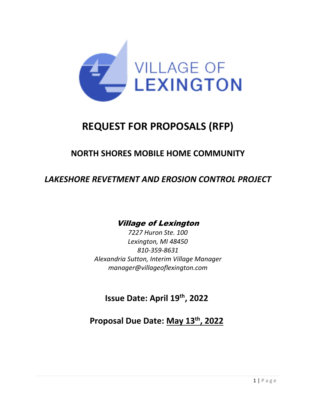

# **REQUEST FOR PROPOSALS (RFP)**

## **NORTH SHORES MOBILE HOME COMMUNITY**

## *LAKESHORE REVETMENT AND EROSION CONTROL PROJECT*

## Village of Lexington

*7227 Huron Ste. 100 Lexington, MI 48450 810-359-8631 Alexandria Sutton, Interim Village Manager manager@villageoflexington.com*

**Issue Date: April 19 th, 2022**

**Proposal Due Date: May 13th, 2022**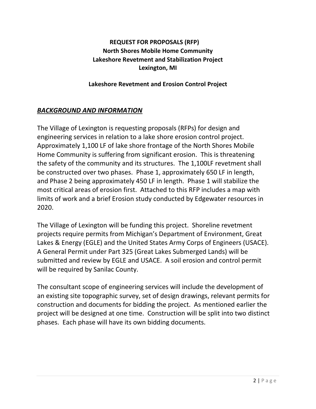### **REQUEST FOR PROPOSALS (RFP) North Shores Mobile Home Community Lakeshore Revetment and Stabilization Project Lexington, MI**

#### **Lakeshore Revetment and Erosion Control Project**

#### *BACKGROUND AND INFORMATION*

The Village of Lexington is requesting proposals (RFPs) for design and engineering services in relation to a lake shore erosion control project. Approximately 1,100 LF of lake shore frontage of the North Shores Mobile Home Community is suffering from significant erosion. This is threatening the safety of the community and its structures. The 1,100LF revetment shall be constructed over two phases. Phase 1, approximately 650 LF in length, and Phase 2 being approximately 450 LF in length. Phase 1 will stabilize the most critical areas of erosion first. Attached to this RFP includes a map with limits of work and a brief Erosion study conducted by Edgewater resources in 2020.

The Village of Lexington will be funding this project. Shoreline revetment projects require permits from Michigan's Department of Environment, Great Lakes & Energy (EGLE) and the United States Army Corps of Engineers (USACE). A General Permit under Part 325 (Great Lakes Submerged Lands) will be submitted and review by EGLE and USACE. A soil erosion and control permit will be required by Sanilac County.

The consultant scope of engineering services will include the development of an existing site topographic survey, set of design drawings, relevant permits for construction and documents for bidding the project. As mentioned earlier the project will be designed at one time. Construction will be split into two distinct phases. Each phase will have its own bidding documents.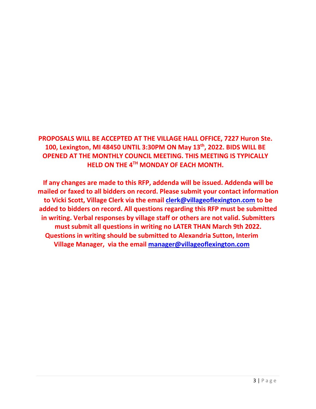## **PROPOSALS WILL BE ACCEPTED AT THE VILLAGE HALL OFFICE, 7227 Huron Ste. 100, Lexington, MI 48450 UNTIL 3:30PM ON May 13th, 2022. BIDS WILL BE OPENED AT THE MONTHLY COUNCIL MEETING. THIS MEETING IS TYPICALLY HELD ON THE 4TH MONDAY OF EACH MONTH.**

**If any changes are made to this RFP, addenda will be issued. Addenda will be mailed or faxed to all bidders on record. Please submit your contact information to Vicki Scott, Village Clerk via the email [clerk@villageoflexington.com](mailto:clerk@villageoflexington.com) to be added to bidders on record. All questions regarding this RFP must be submitted in writing. Verbal responses by village staff or others are not valid. Submitters must submit all questions in writing no LATER THAN March 9th 2022. Questions in writing should be submitted to Alexandria Sutton, Interim Village Manager, via the email [manager@villageoflexington.com](mailto:manager@villageoflexington.com)**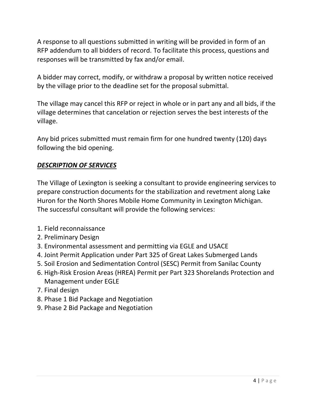A response to all questions submitted in writing will be provided in form of an RFP addendum to all bidders of record. To facilitate this process, questions and responses will be transmitted by fax and/or email.

A bidder may correct, modify, or withdraw a proposal by written notice received by the village prior to the deadline set for the proposal submittal.

The village may cancel this RFP or reject in whole or in part any and all bids, if the village determines that cancelation or rejection serves the best interests of the village.

Any bid prices submitted must remain firm for one hundred twenty (120) days following the bid opening.

### *DESCRIPTION OF SERVICES*

The Village of Lexington is seeking a consultant to provide engineering services to prepare construction documents for the stabilization and revetment along Lake Huron for the North Shores Mobile Home Community in Lexington Michigan. The successful consultant will provide the following services:

- 1. Field reconnaissance
- 2. Preliminary Design
- 3. Environmental assessment and permitting via EGLE and USACE
- 4. Joint Permit Application under Part 325 of Great Lakes Submerged Lands
- 5. Soil Erosion and Sedimentation Control (SESC) Permit from Sanilac County
- 6. High-Risk Erosion Areas (HREA) Permit per Part 323 Shorelands Protection and Management under EGLE
- 7. Final design
- 8. Phase 1 Bid Package and Negotiation
- 9. Phase 2 Bid Package and Negotiation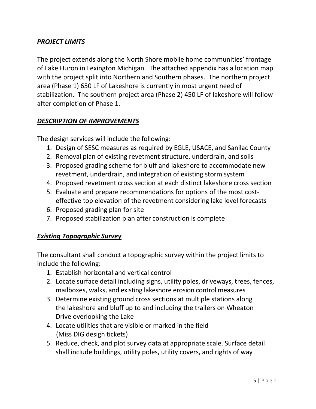### *PROJECT LIMITS*

The project extends along the North Shore mobile home communities' frontage of Lake Huron in Lexington Michigan. The attached appendix has a location map with the project split into Northern and Southern phases. The northern project area (Phase 1) 650 LF of Lakeshore is currently in most urgent need of stabilization. The southern project area (Phase 2) 450 LF of lakeshore will follow after completion of Phase 1.

### *DESCRIPTION OF IMPROVEMENTS*

The design services will include the following:

- 1. Design of SESC measures as required by EGLE, USACE, and Sanilac County
- 2. Removal plan of existing revetment structure, underdrain, and soils
- 3. Proposed grading scheme for bluff and lakeshore to accommodate new revetment, underdrain, and integration of existing storm system
- 4. Proposed revetment cross section at each distinct lakeshore cross section
- 5. Evaluate and prepare recommendations for options of the most costeffective top elevation of the revetment considering lake level forecasts
- 6. Proposed grading plan for site
- 7. Proposed stabilization plan after construction is complete

#### *Existing Topographic Survey*

The consultant shall conduct a topographic survey within the project limits to include the following:

- 1. Establish horizontal and vertical control
- 2. Locate surface detail including signs, utility poles, driveways, trees, fences, mailboxes, walks, and existing lakeshore erosion control measures
- 3. Determine existing ground cross sections at multiple stations along the lakeshore and bluff up to and including the trailers on Wheaton Drive overlooking the Lake
- 4. Locate utilities that are visible or marked in the field (Miss DIG design tickets)
- 5. Reduce, check, and plot survey data at appropriate scale. Surface detail shall include buildings, utility poles, utility covers, and rights of way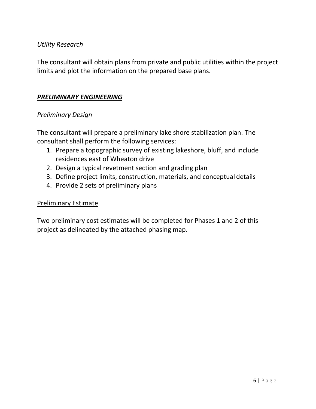#### *Utility Research*

The consultant will obtain plans from private and public utilities within the project limits and plot the information on the prepared base plans.

#### *PRELIMINARY ENGINEERING*

#### *Preliminary Design*

The consultant will prepare a preliminary lake shore stabilization plan. The consultant shall perform the following services:

- 1. Prepare a topographic survey of existing lakeshore, bluff, and include residences east of Wheaton drive
- 2. Design a typical revetment section and grading plan
- 3. Define project limits, construction, materials, and conceptual details
- 4. Provide 2 sets of preliminary plans

#### Preliminary Estimate

Two preliminary cost estimates will be completed for Phases 1 and 2 of this project as delineated by the attached phasing map.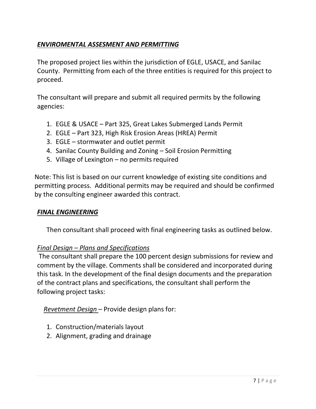### *ENVIROMENTAL ASSESMENT AND PERMITTING*

The proposed project lies within the jurisdiction of EGLE, USACE, and Sanilac County. Permitting from each of the three entities is required for this project to proceed.

The consultant will prepare and submit all required permits by the following agencies:

- 1. EGLE & USACE Part 325, Great Lakes Submerged Lands Permit
- 2. EGLE Part 323, High Risk Erosion Areas (HREA) Permit
- 3. EGLE stormwater and outlet permit
- 4. Sanilac County Building and Zoning Soil Erosion Permitting
- 5. Village of Lexington  $-$  no permits required

Note: This list is based on our current knowledge of existing site conditions and permitting process. Additional permits may be required and should be confirmed by the consulting engineer awarded this contract.

#### *FINAL ENGINEERING*

Then consultant shall proceed with final engineering tasks as outlined below.

#### *Final Design – Plans and Specifications*

The consultant shall prepare the 100 percent design submissions for review and comment by the village. Comments shall be considered and incorporated during this task. In the development of the final design documents and the preparation of the contract plans and specifications, the consultant shall perform the following project tasks:

*Revetment Design* – Provide design plans for:

- 1. Construction/materials layout
- 2. Alignment, grading and drainage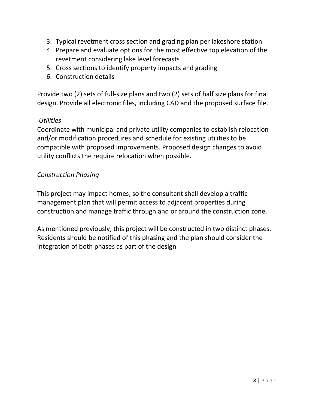- 3. Typical revetment cross section and grading plan per lakeshore station
- 4. Prepare and evaluate options for the most effective top elevation of the revetment considering lake level forecasts
- 5. Cross sections to identify property impacts and grading
- 6. Construction details

Provide two (2) sets of full-size plans and two (2) sets of half size plans for final design. Provide all electronic files, including CAD and the proposed surface file.

#### *Utilities*

Coordinate with municipal and private utility companies to establish relocation and/or modification procedures and schedule for existing utilities to be compatible with proposed improvements. Proposed design changes to avoid utility conflicts the require relocation when possible.

#### *Construction Phasing*

This project may impact homes, so the consultant shall develop a traffic management plan that will permit access to adjacent properties during construction and manage traffic through and or around the construction zone.

As mentioned previously, this project will be constructed in two distinct phases. Residents should be notified of this phasing and the plan should consider the integration of both phases as part of the design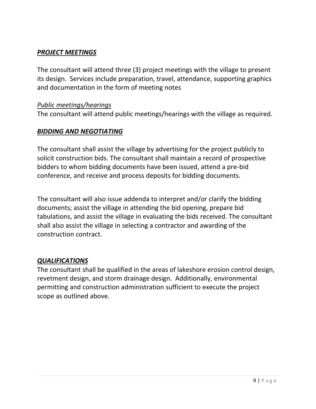#### *PROJECT MEETINGS*

The consultant will attend three (3) project meetings with the village to present its design. Services include preparation, travel, attendance, supporting graphics and documentation in the form of meeting notes

#### *Public meetings/hearings*

The consultant will attend public meetings/hearings with the village as required.

#### *BIDDING AND NEGOTIATING*

The consultant shall assist the village by advertising for the project publicly to solicit construction bids. The consultant shall maintain a record of prospective bidders to whom bidding documents have been issued, attend a pre-bid conference, and receive and process deposits for bidding documents.

The consultant will also issue addenda to interpret and/or clarify the bidding documents; assist the village in attending the bid opening, prepare bid tabulations, and assist the village in evaluating the bids received. The consultant shall also assist the village in selecting a contractor and awarding of the construction contract.

#### *QUALIFICATIONS*

The consultant shall be qualified in the areas of lakeshore erosion control design, revetment design, and storm drainage design. Additionally, environmental permitting and construction administration sufficient to execute the project scope as outlined above.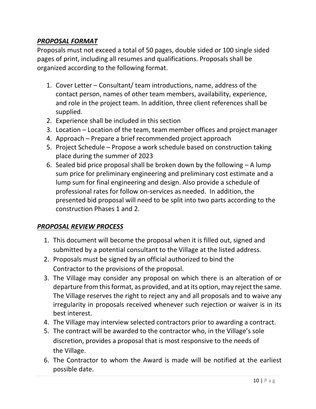### *PROPOSAL FORMAT*

Proposals must not exceed a total of 50 pages, double sided or 100 single sided pages of print, including all resumes and qualifications. Proposals shall be organized according to the following format.

- 1. Cover Letter Consultant/ team introductions, name, address of the contact person, names of other team members, availability, experience, and role in the project team. In addition, three client references shall be supplied.
- 2. Experience shall be included in this section
- 3. Location Location of the team, team member offices and project manager
- 4. Approach Prepare a brief recommended project approach
- 5. Project Schedule Propose a work schedule based on construction taking place during the summer of 2023
- 6. Sealed bid price proposal shall be broken down by the following  $A$  lump sum price for preliminary engineering and preliminary cost estimate and a lump sum for final engineering and design. Also provide a schedule of professional rates for follow on-services as needed. In addition, the presented bid proposal will need to be split into two parts according to the construction Phases 1 and 2.

### *PROPOSAL REVIEW PROCESS*

- 1. This document will become the proposal when it is filled out, signed and submitted by a potential consultant to the Village at the listed address.
- 2. Proposals must be signed by an official authorized to bind the Contractor to the provisions of the proposal.
- 3. The Village may consider any proposal on which there is an alteration of or departure from this format, as provided, and at its option, may reject the same. The Village reserves the right to reject any and all proposals and to waive any irregularity in proposals received whenever such rejection or waiver is in its best interest.
- 4. The Village may interview selected contractors prior to awarding a contract.
- 5. The contract will be awarded to the contractor who, in the Village's sole discretion, provides a proposal that is most responsive to the needs of the Village.
- 6. The Contractor to whom the Award is made will be notified at the earliest possible date.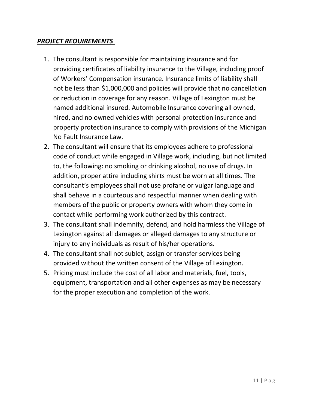#### *PROJECT REOUIREMENTS*

- 1. The consultant is responsible for maintaining insurance and for providing certificates of liability insurance to the Village, including proof of Workers' Compensation insurance. Insurance limits of liability shall not be less than \$1,000,000 and policies will provide that no cancellation or reduction in coverage for any reason. Village of Lexington must be named additional insured. Automobile Insurance covering all owned, hired, and no owned vehicles with personal protection insurance and property protection insurance to comply with provisions of the Michigan No Fault Insurance Law.
- 2. The consultant will ensure that its employees adhere to professional code of conduct while engaged in Village work, including, but not limited to, the following: no smoking or drinking alcohol, no use of drugs. In addition, proper attire including shirts must be worn at all times. The consultant's employees shall not use profane or vulgar language and shall behave in a courteous and respectful manner when dealing with members of the public or property owners with whom they come in contact while performing work authorized by this contract.
- 3. The consultant shall indemnify, defend, and hold harmless the Village of Lexington against all damages or alleged damages to any structure or injury to any individuals as result of his/her operations.
- 4. The consultant shall not sublet, assign or transfer services being provided without the written consent of the Village of Lexington.
- 5. Pricing must include the cost of all labor and materials, fuel, tools, equipment, transportation and all other expenses as may be necessary for the proper execution and completion of the work.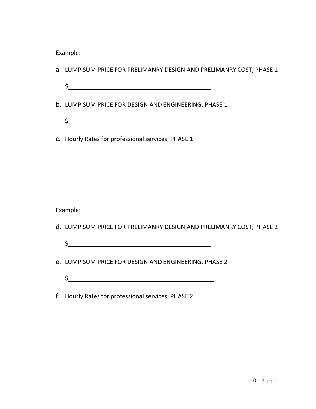Example:

- a. LUMP SUM PRICE FOR PRELIMANRY DESIGN AND PRELIMANRY COST, PHASE 1
	- $\frac{1}{2}$
- b. LUMP SUM PRICE FOR DESIGN AND ENGINEERING, PHASE 1
	- $\begin{array}{ccccccccccccc}\n\texttt{S} & \texttt{________} & \texttt{________} & \texttt{________} & \texttt{________} \\
	\texttt{S} & \texttt{________} & \texttt{________} & \texttt{________} & \texttt{________} & \texttt{________} & \texttt{________} & \texttt{________} & \texttt{________} & \texttt{________} & \texttt{________} & \texttt{________} & \texttt{________} & \texttt{________} & \texttt{________} & \texttt{________} & \texttt{________} & \texttt{________} & \texttt{________} & \texttt{________} & \texttt{________} & \texttt{________} & \texttt{________} & \texttt{________} & \texttt{________}$
- c. Hourly Rates for professional services, PHASE 1

Example:

- d. LUMP SUM PRICE FOR PRELIMANRY DESIGN AND PRELIMANRY COST, PHASE 2
	- $\sim$
- e. LUMP SUM PRICE FOR DESIGN AND ENGINEERING, PHASE 2
	- $\frac{1}{2}$
- f. Hourly Rates for professional services, PHASE 2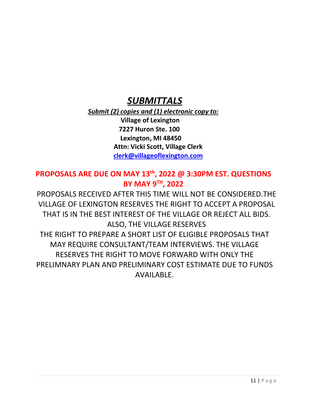## *SUBMITTALS*

*Submit (2) copies and (1) electronic copy to:* **Village of Lexington 7227 Huron Ste. 100 Lexington, MI 48450 Attn: Vicki Scott, Village Clerk [clerk@villageoflexington.com](mailto:clerk@villageoflexington.com)**

## **PROPOSALS ARE DUE ON MAY 13th, 2022 @ 3:30PM EST. QUESTIONS BY MAY 9 TH, 2022**

PROPOSALS RECEIVED AFTER THIS TIME WILL NOT BE CONSIDERED.THE VILLAGE OF LEXINGTON RESERVES THE RIGHT TO ACCEPT A PROPOSAL THAT IS IN THE BEST INTEREST OF THE VILLAGE OR REJECT ALL BIDS. ALSO, THE VILLAGE RESERVES THE RIGHT TO PREPARE A SHORT LIST OF ELIGIBLE PROPOSALS THAT MAY REQUIRE CONSULTANT/TEAM INTERVIEWS. THE VILLAGE RESERVES THE RIGHT TO MOVE FORWARD WITH ONLY THE PRELIMNARY PLAN AND PRELIMINARY COST ESTIMATE DUE TO FUNDS AVAILABLE.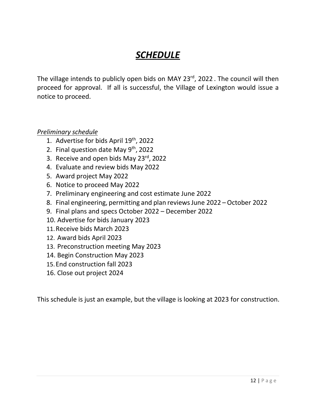# *SCHEDULE*

The village intends to publicly open bids on MAY 23rd, 2022 . The council will then proceed for approval. If all is successful, the Village of Lexington would issue a notice to proceed.

#### *Preliminary schedule*

- 1. Advertise for bids April 19<sup>th</sup>, 2022
- 2. Final question date May 9<sup>th</sup>, 2022
- 3. Receive and open bids May 23rd, 2022
- 4. Evaluate and review bids May 2022
- 5. Award project May 2022
- 6. Notice to proceed May 2022
- 7. Preliminary engineering and cost estimate June 2022
- 8. Final engineering, permitting and plan reviews June 2022 October 2022
- 9. Final plans and specs October 2022 December 2022
- 10. Advertise for bids January 2023
- 11.Receive bids March 2023
- 12. Award bids April 2023
- 13. Preconstruction meeting May 2023
- 14. Begin Construction May 2023
- 15.End construction fall 2023
- 16. Close out project 2024

This schedule is just an example, but the village is looking at 2023 for construction.